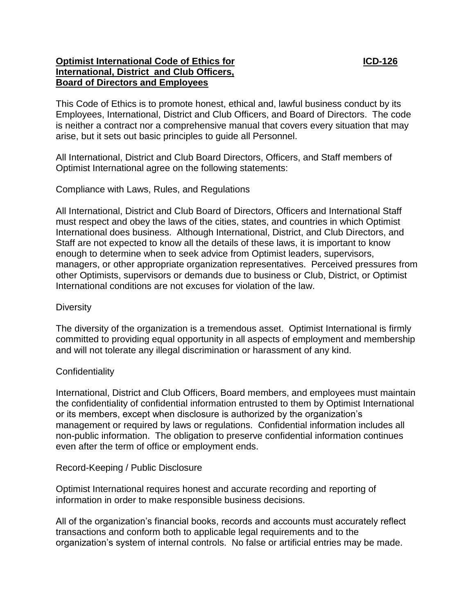# **Optimist International Code of Ethics for ICD-126 International, District and Club Officers, Board of Directors and Employees**

This Code of Ethics is to promote honest, ethical and, lawful business conduct by its Employees, International, District and Club Officers, and Board of Directors. The code is neither a contract nor a comprehensive manual that covers every situation that may arise, but it sets out basic principles to guide all Personnel.

All International, District and Club Board Directors, Officers, and Staff members of Optimist International agree on the following statements:

# Compliance with Laws, Rules, and Regulations

All International, District and Club Board of Directors, Officers and International Staff must respect and obey the laws of the cities, states, and countries in which Optimist International does business. Although International, District, and Club Directors, and Staff are not expected to know all the details of these laws, it is important to know enough to determine when to seek advice from Optimist leaders, supervisors, managers, or other appropriate organization representatives. Perceived pressures from other Optimists, supervisors or demands due to business or Club, District, or Optimist International conditions are not excuses for violation of the law.

## **Diversity**

The diversity of the organization is a tremendous asset. Optimist International is firmly committed to providing equal opportunity in all aspects of employment and membership and will not tolerate any illegal discrimination or harassment of any kind.

# **Confidentiality**

International, District and Club Officers, Board members, and employees must maintain the confidentiality of confidential information entrusted to them by Optimist International or its members, except when disclosure is authorized by the organization's management or required by laws or regulations. Confidential information includes all non-public information. The obligation to preserve confidential information continues even after the term of office or employment ends.

# Record-Keeping / Public Disclosure

Optimist International requires honest and accurate recording and reporting of information in order to make responsible business decisions.

All of the organization's financial books, records and accounts must accurately reflect transactions and conform both to applicable legal requirements and to the organization's system of internal controls. No false or artificial entries may be made.